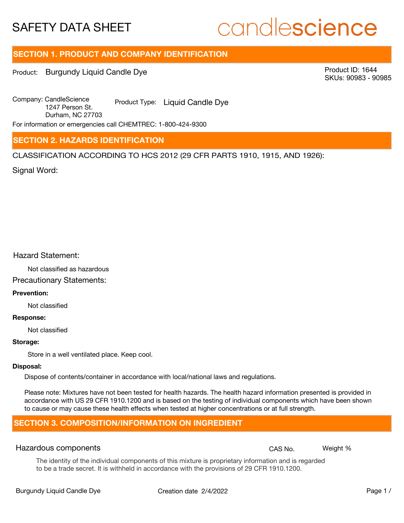# candlescience

## **SECTION 1. PRODUCT AND COMPANY IDENTIFICATION**

Product: Burgundy Liquid Candle Dye

Product ID: 1644 SKUs: 90983 - 90985

Company: Candle Science Product Type: Liquid Candle Dye 1247 Person St. Durham, NC 27703

For information or emergencies call CHEMTREC: 1-800-424-9300

### **SECTION 2. HAZARDS IDENTIFICATION**

CLASSIFICATION ACCORDING TO HCS 2012 (29 CFR PARTS 1910, 1915, AND 1926):

Signal Word:

#### Hazard Statement:

Not classified as hazardous

## Precautionary Statements:

#### **Prevention:**

Not classified

#### **Response:**

Not classified

#### **Storage:**

Store in a well ventilated place. Keep cool.

#### **Disposal:**

Dispose of contents/container in accordance with local/national laws and regulations.

Please note: Mixtures have not been tested for health hazards. The health hazard information presented is provided in accordance with US 29 CFR 1910.1200 and is based on the testing of individual components which have been shown to cause or may cause these health effects when tested at higher concentrations or at full strength.

## **SECTION 3. COMPOSITION/INFORMATION ON INGREDIENT**

#### Hazardous components **CAS No. Weight %** and CAS No. Weight %

The identity of the individual components of this mixture is proprietary information and is regarded to be a trade secret. It is withheld in accordance with the provisions of 29 CFR 1910.1200.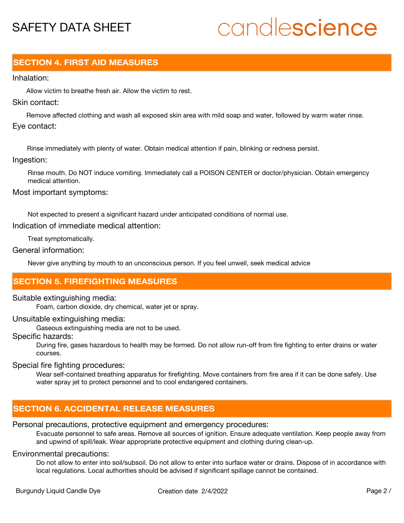# candlescience

## **SECTION 4. FIRST AID MEASURES**

#### Inhalation:

Allow victim to breathe fresh air. Allow the victim to rest.

Skin contact:

Remove affected clothing and wash all exposed skin area with mild soap and water, followed by warm water rinse. Eye contact:

Rinse immediately with plenty of water. Obtain medical attention if pain, blinking or redness persist.

#### Ingestion:

Rinse mouth. Do NOT induce vomiting. Immediately call a POISON CENTER or doctor/physician. Obtain emergency medical attention.

Most important symptoms:

Not expected to present a significant hazard under anticipated conditions of normal use.

### Indication of immediate medical attention:

Treat symptomatically.

General information:

Never give anything by mouth to an unconscious person. If you feel unwell, seek medical advice

## **SECTION 5. FIREFIGHTING MEASURES**

Suitable extinguishing media:

Foam, carbon dioxide, dry chemical, water jet or spray.

Unsuitable extinguishing media:

Gaseous extinguishing media are not to be used.

Specific hazards:

During fire, gases hazardous to health may be formed. Do not allow run-off from fire fighting to enter drains or water courses.

Special fire fighting procedures:

Wear self-contained breathing apparatus for firefighting. Move containers from fire area if it can be done safely. Use water spray jet to protect personnel and to cool endangered containers.

# **SECTION 6. ACCIDENTAL RELEASE MEASURES**

Personal precautions, protective equipment and emergency procedures:

Evacuate personnel to safe areas. Remove all sources of ignition. Ensure adequate ventilation. Keep people away from and upwind of spill/leak. Wear appropriate protective equipment and clothing during clean-up.

#### Environmental precautions:

Do not allow to enter into soil/subsoil. Do not allow to enter into surface water or drains. Dispose of in accordance with local regulations. Local authorities should be advised if significant spillage cannot be contained.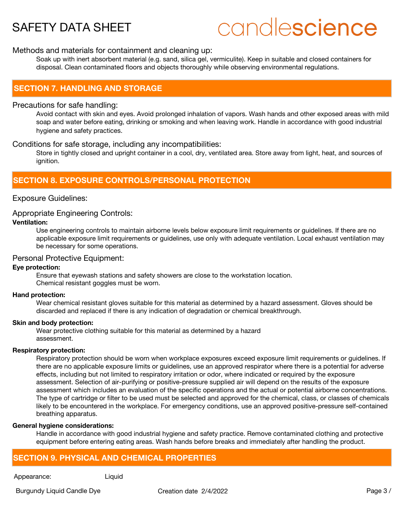# candlescience

#### Methods and materials for containment and cleaning up:

Soak up with inert absorbent material (e.g. sand, silica gel, vermiculite). Keep in suitable and closed containers for disposal. Clean contaminated floors and objects thoroughly while observing environmental regulations.

### **SECTION 7. HANDLING AND STORAGE**

#### Precautions for safe handling:

Avoid contact with skin and eyes. Avoid prolonged inhalation of vapors. Wash hands and other exposed areas with mild soap and water before eating, drinking or smoking and when leaving work. Handle in accordance with good industrial hygiene and safety practices.

#### Conditions for safe storage, including any incompatibilities:

Store in tightly closed and upright container in a cool, dry, ventilated area. Store away from light, heat, and sources of ignition.

### **SECTION 8. EXPOSURE CONTROLS/PERSONAL PROTECTION**

#### Exposure Guidelines:

#### Appropriate Engineering Controls:

#### **Ventilation:**

Use engineering controls to maintain airborne levels below exposure limit requirements or guidelines. If there are no applicable exposure limit requirements or guidelines, use only with adequate ventilation. Local exhaust ventilation may be necessary for some operations.

#### Personal Protective Equipment:

#### **Eye protection:**

Ensure that eyewash stations and safety showers are close to the workstation location. Chemical resistant goggles must be worn.

#### **Hand protection:**

Wear chemical resistant gloves suitable for this material as determined by a hazard assessment. Gloves should be discarded and replaced if there is any indication of degradation or chemical breakthrough.

#### **Skin and body protection:**

Wear protective clothing suitable for this material as determined by a hazard assessment.

#### **Respiratory protection:**

Respiratory protection should be worn when workplace exposures exceed exposure limit requirements or guidelines. If there are no applicable exposure limits or guidelines, use an approved respirator where there is a potential for adverse effects, including but not limited to respiratory irritation or odor, where indicated or required by the exposure assessment. Selection of air-purifying or positive-pressure supplied air will depend on the results of the exposure assessment which includes an evaluation of the specific operations and the actual or potential airborne concentrations. The type of cartridge or filter to be used must be selected and approved for the chemical, class, or classes of chemicals likely to be encountered in the workplace. For emergency conditions, use an approved positive-pressure self-contained breathing apparatus.

#### **General hygiene considerations:**

Handle in accordance with good industrial hygiene and safety practice. Remove contaminated clothing and protective equipment before entering eating areas. Wash hands before breaks and immediately after handling the product.

## **SECTION 9. PHYSICAL AND CHEMICAL PROPERTIES**

#### Appearance: Liquid

Burgundy Liquid Candle Dye **Creation date 2/4/2022** Page 3 /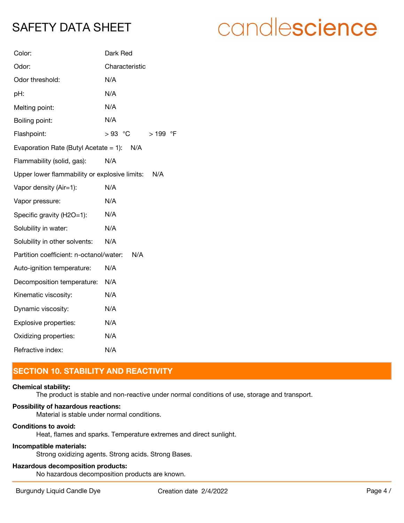# candlescience

| Color:                                               | Dark Red         |
|------------------------------------------------------|------------------|
| Odor:                                                | Characteristic   |
| Odor threshold:                                      | N/A              |
| pH:                                                  | N/A              |
| Melting point:                                       | N/A              |
| Boiling point:                                       | N/A              |
| Flashpoint:                                          | $>93$ °C<br>>199 |
| Evaporation Rate (Butyl Acetate = 1): $N/A$          |                  |
| Flammability (solid, gas):                           | N/A              |
| Upper lower flammability or explosive limits:<br>N/A |                  |
| Vapor density (Air=1):                               | N/A              |
| Vapor pressure:                                      | N/A              |
| Specific gravity (H2O=1):                            | N/A              |
| Solubility in water:                                 | N/A              |
| Solubility in other solvents:                        | N/A              |
| Partition coefficient: n-octanol/water:<br>N/A       |                  |
| Auto-ignition temperature:                           | N/A              |
| Decomposition temperature:                           | N/A              |
| Kinematic viscosity:                                 | N/A              |
| Dynamic viscosity:                                   | N/A              |
| Explosive properties:                                | N/A              |
| Oxidizing properties:                                | N/A              |
| Refractive index:                                    | N/A              |

# **SECTION 10. STABILITY AND REACTIVITY**

#### **Chemical stability:**

The product is stable and non-reactive under normal conditions of use, storage and transport.

 $\circ$ F

#### **Possibility of hazardous reactions:**

Material is stable under normal conditions.

#### **Conditions to avoid:**

Heat, flames and sparks. Temperature extremes and direct sunlight.

#### **Incompatible materials:**

Strong oxidizing agents. Strong acids. Strong Bases.

#### **Hazardous decomposition products:**

No hazardous decomposition products are known.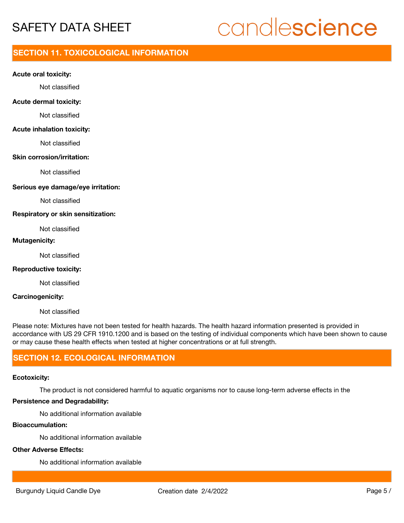# candlescience

## **SECTION 11. TOXICOLOGICAL INFORMATION**

#### **Acute oral toxicity:**

Not classified

#### **Acute dermal toxicity:**

Not classified

#### **Acute inhalation toxicity:**

Not classified

#### **Skin corrosion/irritation:**

Not classified

#### **Serious eye damage/eye irritation:**

Not classified

#### **Respiratory or skin sensitization:**

Not classified

#### **Mutagenicity:**

Not classified

#### **Reproductive toxicity:**

Not classified

#### **Carcinogenicity:**

Not classified

Please note: Mixtures have not been tested for health hazards. The health hazard information presented is provided in accordance with US 29 CFR 1910.1200 and is based on the testing of individual components which have been shown to cause or may cause these health effects when tested at higher concentrations or at full strength.

### **SECTION 12. ECOLOGICAL INFORMATION**

#### **Ecotoxicity:**

The product is not considered harmful to aquatic organisms nor to cause long-term adverse effects in the

# **Persistence and Degradability:**

No additional information available

#### **Bioaccumulation:**

No additional information available

#### **Other Adverse Effects:**

No additional information available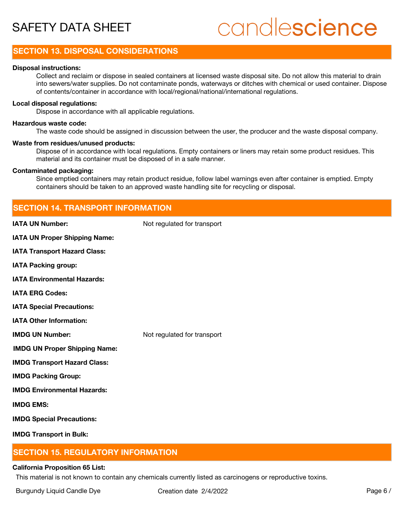# candlescience

### **SECTION 13. DISPOSAL CONSIDERATIONS**

#### **Disposal instructions:**

Collect and reclaim or dispose in sealed containers at licensed waste disposal site. Do not allow this material to drain into sewers/water supplies. Do not contaminate ponds, waterways or ditches with chemical or used container. Dispose of contents/container in accordance with local/regional/national/international regulations.

#### **Local disposal regulations:**

Dispose in accordance with all applicable regulations.

#### **Hazardous waste code:**

The waste code should be assigned in discussion between the user, the producer and the waste disposal company.

#### **Waste from residues/unused products:**

Dispose of in accordance with local regulations. Empty containers or liners may retain some product residues. This material and its container must be disposed of in a safe manner.

#### **Contaminated packaging:**

Since emptied containers may retain product residue, follow label warnings even after container is emptied. Empty containers should be taken to an approved waste handling site for recycling or disposal.

| <b>SECTION 14. TRANSPORT INFORMATION</b>  |                             |  |
|-------------------------------------------|-----------------------------|--|
| <b>IATA UN Number:</b>                    | Not regulated for transport |  |
| <b>IATA UN Proper Shipping Name:</b>      |                             |  |
| <b>IATA Transport Hazard Class:</b>       |                             |  |
| <b>IATA Packing group:</b>                |                             |  |
| <b>IATA Environmental Hazards:</b>        |                             |  |
| <b>IATA ERG Codes:</b>                    |                             |  |
| <b>IATA Special Precautions:</b>          |                             |  |
| <b>IATA Other Information:</b>            |                             |  |
| <b>IMDG UN Number:</b>                    | Not regulated for transport |  |
| <b>IMDG UN Proper Shipping Name:</b>      |                             |  |
| <b>IMDG Transport Hazard Class:</b>       |                             |  |
| <b>IMDG Packing Group:</b>                |                             |  |
| <b>IMDG Environmental Hazards:</b>        |                             |  |
| <b>IMDG EMS:</b>                          |                             |  |
| <b>IMDG Special Precautions:</b>          |                             |  |
| <b>IMDG Transport in Bulk:</b>            |                             |  |
| <b>SECTION 15. REGULATORY INFORMATION</b> |                             |  |

#### **California Proposition 65 List:**

This material is not known to contain any chemicals currently listed as carcinogens or reproductive toxins.

Burgundy Liquid Candle Dye **Creation date 2/4/2022** Page 6 /